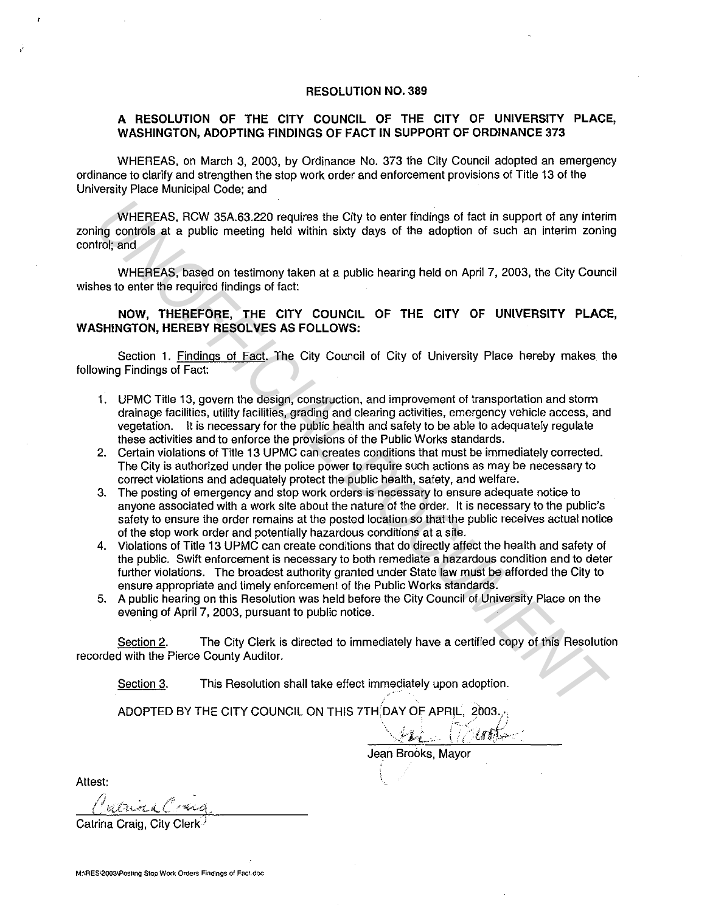## **RESOLUTION NO. 389**

## **A RESOLUTION OF THE CITY COUNCIL OF THE CITY OF UNIVERSITY PLACE, WASHINGTON, ADOPTING FINDINGS OF FACT IN SUPPORT OF ORDINANCE 373**

WHEREAS. on March 3, 2003. by Ordinance No. 373 the City Council adopted an emergency ordinance to clarify and strengthen the stop work order and enforcement provisions of Title 13 of the University Place Municipal Code; and

WHEREAS, RCW 35A.63.220 requires the City to enter findings of fact in support of any interim zoning controls at a public meeting held within sixty days of the adoption of such an interim zoning control; and

WHEREAS, based on testimony taken at a public hearing held on April 7, 2003, the City Council wishes to enter the required findings of fact:

## **NOW, THEREFORE, THE CITY COUNCIL OF THE CITY OF UNIVERSITY PLACE, WASHINGTON, HEREBY RESOLVES AS FOLLOWS:**

Section 1. Findings of Fact. The City Council of City of University Place hereby makes the following Findings of Fact:

- 1. UPMC Title 13, govern the design, construction, and improvement of transportation and storm drainage facilities, utility facilities, grading and clearing activities, emergency vehicle access, and vegetation. It is necessary for the public health and safety to be able to adequately regulate these activities and to enforce the provisions of the Public Works standards.
- 2. Certain violations of Title 13 UPMC can creates conditions that must be immediately corrected. The City is authorized under the police power to require such actions as may be necessary to correct violations and adequately protect the public health, safety, and welfare.
- 3. The posting of emergency and stop work orders is necessary to ensure adequate notice to anyone associated with a work site about the nature of the order. It is necessary to the public's safety to ensure the order remains at the posted location so that the public receives actual notice of the stop work order and potentially hazardous conditions at a site. WHEREAS, RGW 36A.63.220 requires the Gity to enter findings of fact in support of any lintering<br>frog controls at a public meeting held within sixty days of the adoption of such an interim zonin<br>for the any line of the stud
- 4. Violations of Title 13 UPMC can create conditions that do directly affect the health and safety of the public. Swift enforcement is necessary to both remediate a hazardous condition and to deter further violations. The broadest authority granted under State law must be afforded the City to ensure appropriate and timely enforcement of the Public Works standards.
- 5. A public hearing on this Resolution was held before the City Council of University Place on the evening of April 7, 2003, pursuant to public notice.

Section 2. The City Clerk is directed to immediately have a certified copy of this Resolution recorded with the Pierce County Auditor.

Section 3. This Resolution shall take effect immediately upon adoption.

ADOPTED BY THE CITY COUNCIL ON THIS 7TH DAY OF APRIL, 2003.

Jean Brooks, Mayor

*VJ-L.* (~).£J:rf~· .

Attest:

Catrina Craig, City Clerk